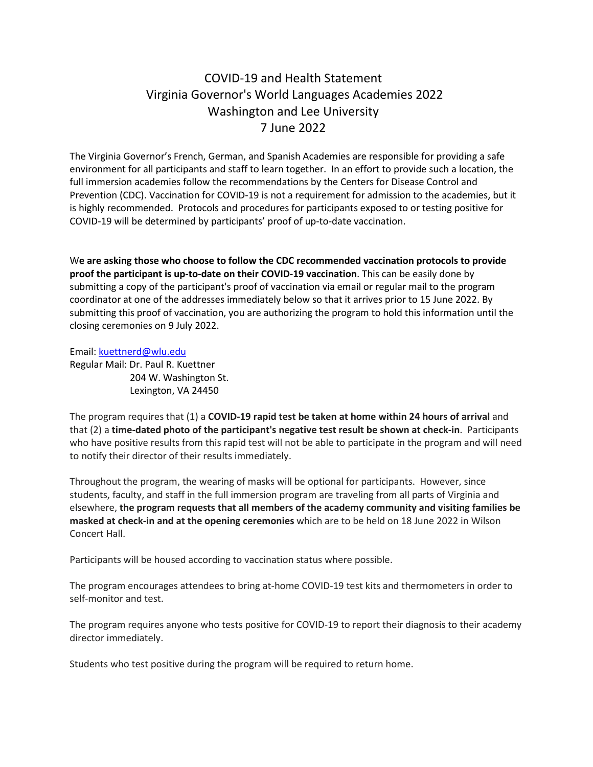## COVID-19 and Health Statement Virginia Governor's World Languages Academies 2022 Washington and Lee University 7 June 2022

The Virginia Governor's French, German, and Spanish Academies are responsible for providing a safe environment for all participants and staff to learn together. In an effort to provide such a location, the full immersion academies follow the recommendations by the Centers for Disease Control and Prevention (CDC). Vaccination for COVID-19 is not a requirement for admission to the academies, but it is highly recommended. Protocols and procedures for participants exposed to or testing positive for COVID-19 will be determined by participants' proof of up-to-date vaccination.

W**e are asking those who choose to follow the CDC recommended vaccination protocols to provide proof the participant is up-to-date on their COVID-19 vaccination**. This can be easily done by submitting a copy of the participant's proof of vaccination via email or regular mail to the program coordinator at one of the addresses immediately below so that it arrives prior to 15 June 2022. By submitting this proof of vaccination, you are authorizing the program to hold this information until the closing ceremonies on 9 July 2022.

Email: [kuettnerd@wlu.edu](mailto:kuettnerd@wlu.edu) Regular Mail: Dr. Paul R. Kuettner 204 W. Washington St. Lexington, VA 24450

The program requires that (1) a **COVID-19 rapid test be taken at home within 24 hours of arrival** and that (2) a **time-dated photo of the participant's negative test result be shown at check-in**. Participants who have positive results from this rapid test will not be able to participate in the program and will need to notify their director of their results immediately.

Throughout the program, the wearing of masks will be optional for participants. However, since students, faculty, and staff in the full immersion program are traveling from all parts of Virginia and elsewhere, **the program requests that all members of the academy community and visiting families be masked at check-in and at the opening ceremonies** which are to be held on 18 June 2022 in Wilson Concert Hall.

Participants will be housed according to vaccination status where possible.

The program encourages attendees to bring at-home COVID-19 test kits and thermometers in order to self-monitor and test.

The program requires anyone who tests positive for COVID-19 to report their diagnosis to their academy director immediately.

Students who test positive during the program will be required to return home.